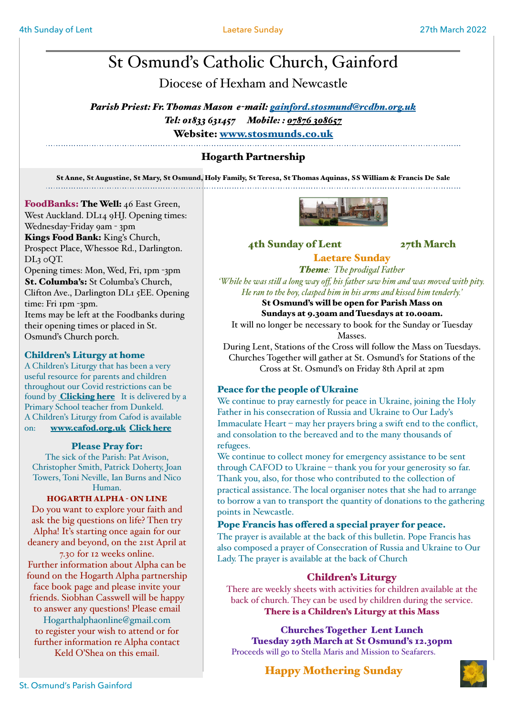# St Osmund's Catholic Church, Gainford

Diocese of Hexham and Newcastle

*Parish Priest: Fr. Thomas Mason e-mail: [gainford.stosmund@rcdhn.org.uk](mailto:gainford.stosmunds@rcdhn.org.uk) Tel: 01833 631457 Mobile: : [07876 308657](tel:07876%20308657)* Website: [www.stosmunds.co.uk](http://www.stosmunds.co.uk)

# Hogarth Partnership

St Anne, St Augustine, St Mary, St Osmund, Holy Family, St Teresa, St Thomas Aquinas, SS William & Francis De Sale

# FoodBanks: The Well: 46 East Green,

West Auckland. DL14 9HJ. Opening times: Wednesday-Friday 9am - 3pm Kings Food Bank: King's Church, Prospect Place, Whessoe Rd., Darlington. DL3 0QT. Opening times: Mon, Wed, Fri, 1pm -3pm St. Columba's: St Columba's Church,

Clifton Ave., Darlington DL1 5EE. Opening time: Fri 1pm -3pm. Items may be left at the Foodbanks during

their opening times or placed in St. Osmund's Church porch.

# Children's Liturgy at home

A Children's Liturgy that has been a very useful resource for parents and children throughout our Covid restrictions can be found by **[Clicking here](https://www.facebook.com/pages/category/Teens---Kids-Website/Childrens-Liturgy-during-lockdown-101967264838340/)** It is delivered by a Primary School teacher from Dunkeld. A Children's Liturgy from Cafod is available on: [www.cafod.org.uk](http://www.cafod.org.uk) Click here

# Please Pray for:

The sick of the Parish: Pat Avison, Christopher Smith, Patrick Doherty, Joan Towers, Toni Neville, Ian Burns and Nico Human.

# HOGARTH ALPHA - ON LINE

Do you want to explore your faith and ask the big questions on life? Then try Alpha! It's starting once again for our deanery and beyond, on the 21st April at 7.30 for 12 weeks online. Further information about Alpha can be found on the Hogarth Alpha partnership face book page and please invite your friends. Siobhan Casswell will be happy

to answer any questions! Please email Hogarthalphaonline@gmail.com to register your wish to attend or for further information re Alpha contact Keld O'Shea on this email.



# 4th Sunday of Lent 27th March

# Laetare Sunday *Theme: The prodigal Father*

*'While he was stil a long way off, his father saw him and was moved with pity. He ran to the boy, clasped him in his arms and kissed him tenderly.'* 

### St Osmund's will be open for Parish Mass on Sundays at 9.30am and Tuesdays at 10.00am.

It will no longer be necessary to book for the Sunday or Tuesday Masses.

During Lent, Stations of the Cross will follow the Mass on Tuesdays. Churches Together will gather at St. Osmund's for Stations of the Cross at St. Osmund's on Friday 8th April at 2pm

# Peace for the people of Ukraine

We continue to pray earnestly for peace in Ukraine, joining the Holy Father in his consecration of Russia and Ukraine to Our Lady's Immaculate Heart – may her prayers bring a swift end to the conflict, and consolation to the bereaved and to the many thousands of refugees.

We continue to collect money for emergency assistance to be sent through CAFOD to Ukraine – thank you for your generosity so far. Thank you, also, for those who contributed to the collection of practical assistance. The local organiser notes that she had to arrange to borrow a van to transport the quantity of donations to the gathering points in Newcastle.

# Pope Francis has offered a special prayer for peace.

The prayer is available at the back of this bulletin. Pope Francis has also composed a prayer of Consecration of Russia and Ukraine to Our Lady. The prayer is available at the back of Church

# Children's Liturgy

There are weekly sheets with activities for children available at the back of church. They can be used by children during the service. There is a Children's Liturgy at this Mass

Churches Together Lent Lunch Tuesday 29th March at St Osmund's 12.30pm Proceeds will go to Stella Maris and Mission to Seafarers.

Happy Mothering Sunday

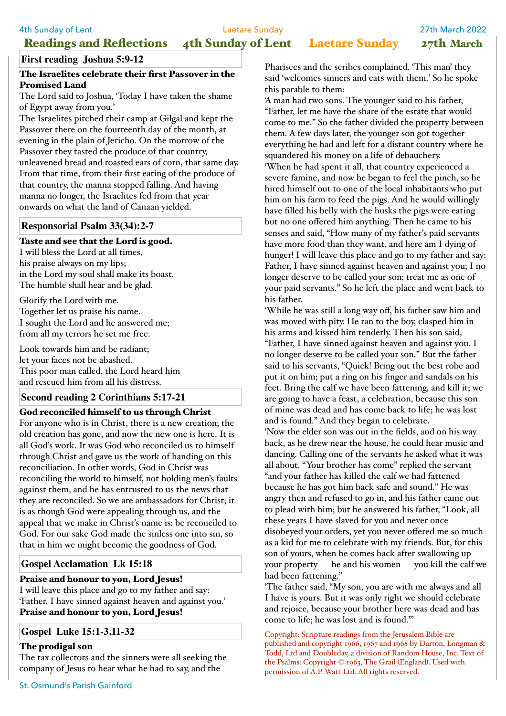Readings and Reflections 4th Sunday of Lent Laetare Sunday 27th March

### **First reading Joshua 5:9-12**

### The Israelites celebrate their first Passover in the Promised Land

The Lord said to Joshua, 'Today I have taken the shame of Egypt away from you.'

The Israelites pitched their camp at Gilgal and kept the Passover there on the fourteenth day of the month, at evening in the plain of Jericho. On the morrow of the Passover they tasted the produce of that country, unleavened bread and roasted ears of corn, that same day. From that time, from their first eating of the produce of that country, the manna stopped falling. And having manna no longer, the Israelites fed from that year onwards on what the land of Canaan yielded.

### **Responsorial Psalm 33(34):2-7**

### Taste and see that the Lord is good.

I will bless the Lord at all times, his praise always on my lips; in the Lord my soul shall make its boast. The humble shall hear and be glad.

Glorify the Lord with me. Together let us praise his name. I sought the Lord and he answered me; from all my terrors he set me free.

Look towards him and be radiant; let your faces not be abashed. This poor man called, the Lord heard him and rescued him from all his distress.

### **Second reading 2 Corinthians 5:17-21**

### God reconciled himself to us through Christ

For anyone who is in Christ, there is a new creation; the old creation has gone, and now the new one is here. It is all God's work. It was God who reconciled us to himself through Christ and gave us the work of handing on this reconciliation. In other words, God in Christ was reconciling the world to himself, not holding men's faults against them, and he has entrusted to us the news that they are reconciled. So we are ambassadors for Christ; it is as though God were appealing through us, and the appeal that we make in Christ's name is: be reconciled to God. For our sake God made the sinless one into sin, so that in him we might become the goodness of God.

### **Gospel Acclamation Lk 15:18**

### Praise and honour to you, Lord Jesus!

I will leave this place and go to my father and say: 'Father, I have sinned against heaven and against you.' Praise and honour to you, Lord Jesus!

### **Gospel Luke 15:1-3,11-32**

### The prodigal son

The tax collectors and the sinners were all seeking the company of Jesus to hear what he had to say, and the

St. Osmund's Parish Gainford

Pharisees and the scribes complained. 'This man' they said 'welcomes sinners and eats with them.' So he spoke this parable to them:

'A man had two sons. The younger said to his father, "Father, let me have the share of the estate that would come to me." So the father divided the property between them. A few days later, the younger son got together everything he had and left for a distant country where he squandered his money on a life of debauchery. 'When he had spent it all, that country experienced a severe famine, and now he began to feel the pinch, so he hired himself out to one of the local inhabitants who put him on his farm to feed the pigs. And he would willingly have filled his belly with the husks the pigs were eating but no one offered him anything. Then he came to his senses and said, "How many of my father's paid servants have more food than they want, and here am I dying of hunger! I will leave this place and go to my father and say: Father, I have sinned against heaven and against you; I no longer deserve to be called your son; treat me as one of your paid servants." So he left the place and went back to his father.

'While he was still a long way off, his father saw him and was moved with pity. He ran to the boy, clasped him in his arms and kissed him tenderly. Then his son said, "Father, I have sinned against heaven and against you. I no longer deserve to be called your son." But the father said to his servants, "Quick! Bring out the best robe and put it on him; put a ring on his finger and sandals on his feet. Bring the calf we have been fattening, and kill it; we are going to have a feast, a celebration, because this son of mine was dead and has come back to life; he was lost and is found." And they began to celebrate.

'Now the elder son was out in the fields, and on his way back, as he drew near the house, he could hear music and dancing. Calling one of the servants he asked what it was all about. "Your brother has come" replied the servant "and your father has killed the calf we had fattened because he has got him back safe and sound." He was angry then and refused to go in, and his father came out to plead with him; but he answered his father, "Look, all these years I have slaved for you and never once disobeyed your orders, yet you never offered me so much as a kid for me to celebrate with my friends. But, for this son of yours, when he comes back after swallowing up your property – he and his women – you kill the calf we had been fattening."

'The father said, "My son, you are with me always and all I have is yours. But it was only right we should celebrate and rejoice, because your brother here was dead and has come to life; he was lost and is found."'

Copyright: Scripture readings from the Jerusalem Bible are published and copyright 1966, 1967 and 1968 by Darton, Longman & Todd, Ltd and Doubleday, a division of Random House, Inc. Text of the Psalms: Copyright © 1963, The Grail (England). Used with permission of A.P. Watt Ltd. All rights reserved.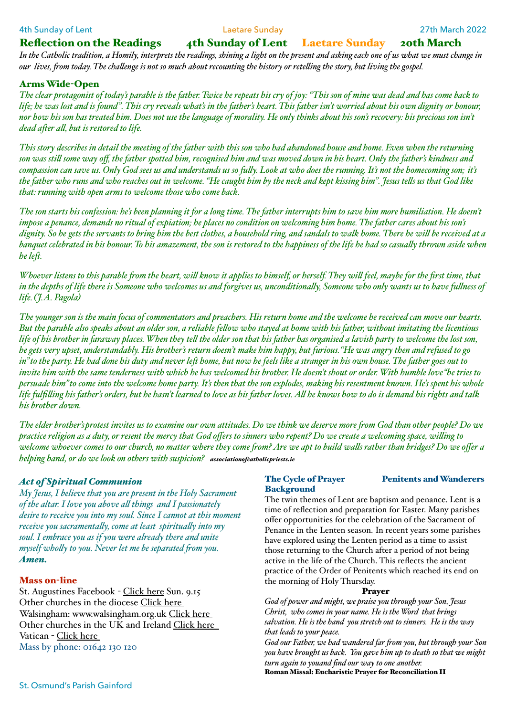### Reflection on the Readings 4th Sunday of Lent Laetare Sunday 20th March

*In the Catholic tradition, a Homily, interprets the readings, shining a light on the present and asking each one of us what we must change in our lives, fom today. The chalenge is not so much about recounting the history or reteling the story, but living the gospel.* 

### Arms Wide-Open

*The clear protagonist of today's parable is the father. Twice he repeats his cry of joy: "This son of mine was dead and has come back to life; he was lost and is found". This cry reveals what's in the father's heart. This father isn't worried about his own dignity or honour, nor how his son has treated him. Does not use the language of morality. He only thinks about his son's recovery: his precious son isn't dead afer al, but is restored to life.*

*This story describes in detail the meeting of the father with this son who had abandoned house and home. Even when the returning son was stil some way off, the father spotted him, recognised him and was moved down in his heart. Only the father's kindness and compassion can save us. Only God sees us and understands us so fuly. Look at who does the running. It's not the homecoming son; it's the father who runs and who reaches out in welcome. "He caught him by the neck and kept kissing him". Jesus tels us that God like that: running with open arms to welcome those who come back.*

*The son starts his confession: he's been planning it for a long time. The father interrupts him to save him more humiliation. He doesn't impose a penance, demands no ritual of expiation; he places no condition on welcoming him home. The father cares about his son's dignity. So he gets the servants to bring him the best clothes, a household ring, and sandals to walk home. There he wil be received at a banquet celebrated in his honour. To his amazement, the son is restored to the happiness of the life he had so casualy thrown aside when he lef.*

*Whoever listens to this parable fom the heart, wil know it applies to himself, or herself. They wil feel, maybe for the first time, that in the depths of life there is Someone who welcomes us and forgives us, unconditionaly, Someone who only wants us to have fulness of life. (J.A. Pagola)*

*The younger son is the main focus of commentators and preachers. His return home and the welcome he received can move our hearts. But the parable also speaks about an older son, a reliable felow who stayed at home with his father, without imitating the licentious life of his brother in faraway places. When they tel the older son that his father has organised a lavish party to welcome the lost son, he gets very upset, understandably. His brother's return doesn't make him happy, but furious."He was angry then and refused to go in"to the party. He had done his duty and never lef home, but now he feels like a stranger in his own house. The father goes out to invite him with the same tenderness with which he has welcomed his brother. He doesn't shout or order. With humble love"he tries to persuade him"to come into the welcome home party. It's then that the son explodes, making his resentment known. He's spent his whole life fulfiling his father's orders, but he hasn't learned to love as his father loves. Al he knows how to do is demand his rights and talk his brother down.*

*The elder brother'sprotest invites us to examine our own attitudes. Do we think we deserve more fom God than other people? Do we practice religion as a duty, or resent the mercy that God offers to sinners who repent? Do we create a welcoming space, wiling to welcome whoever comes to our church, no matter where they come fom? Are we apt to build wals rather than bridges? Do we offer a helping hand, or do we look on others with suspicion? associationofcatholicpriests.ie*

### *Act of Spiritual Communion*

*My Jesus, I believe that you are present in the Holy Sacrament of the altar. I love you above al things and I passionately desire to receive you into my soul. Since I cannot at this moment receive you sacramentaly, come at least spiritualy into my soul. I embrace you as if you were already there and unite myself wholy to you. Never let me be separated fom you. Amen.* 

### Mass 0n-line

St. Augustines Facebook - [Click here](https://www.facebook.com/staugustineschurchdarlington/) Sun. 9.15 Other churches in the diocese [Click here](http://www.rcdhn.org.uk/index.php)  Walsingham: www.walsingham.org.uk [Click here](http://www.walsingham.org.uk)  Other churches in the UK and Ireland [Click here](https://www.churchservices.tv/whats-on-now/)  Vatican - [Click here](https://www.catholictv.org/shows/papal-programming)  Mass by phone: 01642 130 120

# The Cycle of Prayer Penitents and Wanderers **Background**

The twin themes of Lent are baptism and penance. Lent is a time of reflection and preparation for Easter. Many parishes offer opportunities for the celebration of the Sacrament of Penance in the Lenten season. In recent years some parishes have explored using the Lenten period as a time to assist those returning to the Church after a period of not being active in the life of the Church. This reflects the ancient practice of the Order of Penitents which reached its end on the morning of Holy Thursday.

### Prayer

*God of power and might, we praise you through your Son, Jesus Christ, who comes in your name. He is the Word that brings salvation. He is the hand you stretch out to sinners. He is the way that leads to your peace. God our Father, we had wandered far fom you, but through your Son* 

*you have brought us back. You gave him up to death so that we might turn again to youand find our way to one another.* Roman Missal: Eucharistic Prayer for Reconciliation II